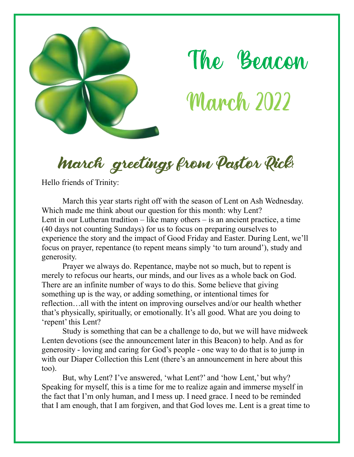

The Beacon **March 2022** 

March greetings from Pastor Rick!

Hello friends of Trinity:

March this year starts right off with the season of Lent on Ash Wednesday. Which made me think about our question for this month: why Lent? Lent in our Lutheran tradition – like many others – is an ancient practice, a time (40 days not counting Sundays) for us to focus on preparing ourselves to experience the story and the impact of Good Friday and Easter. During Lent, we'll focus on prayer, repentance (to repent means simply 'to turn around'), study and generosity.

Prayer we always do. Repentance, maybe not so much, but to repent is merely to refocus our hearts, our minds, and our lives as a whole back on God. There are an infinite number of ways to do this. Some believe that giving something up is the way, or adding something, or intentional times for reflection…all with the intent on improving ourselves and/or our health whether that's physically, spiritually, or emotionally. It's all good. What are you doing to 'repent' this Lent?

Study is something that can be a challenge to do, but we will have midweek Lenten devotions (see the announcement later in this Beacon) to help. And as for generosity - loving and caring for God's people - one way to do that is to jump in with our Diaper Collection this Lent (there's an announcement in here about this too).

But, why Lent? I've answered, 'what Lent?' and 'how Lent,' but why? Speaking for myself, this is a time for me to realize again and immerse myself in the fact that I'm only human, and I mess up. I need grace. I need to be reminded that I am enough, that I am forgiven, and that God loves me. Lent is a great time to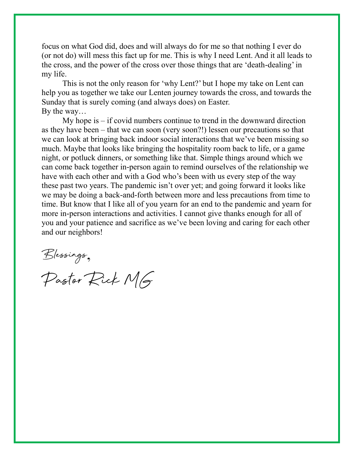focus on what God did, does and will always do for me so that nothing I ever do (or not do) will mess this fact up for me. This is why I need Lent. And it all leads to the cross, and the power of the cross over those things that are 'death-dealing' in my life.

This is not the only reason for 'why Lent?' but I hope my take on Lent can help you as together we take our Lenten journey towards the cross, and towards the Sunday that is surely coming (and always does) on Easter. By the way…

My hope is  $-$  if covid numbers continue to trend in the downward direction as they have been – that we can soon (very soon?!) lessen our precautions so that we can look at bringing back indoor social interactions that we've been missing so much. Maybe that looks like bringing the hospitality room back to life, or a game night, or potluck dinners, or something like that. Simple things around which we can come back together in-person again to remind ourselves of the relationship we have with each other and with a God who's been with us every step of the way these past two years. The pandemic isn't over yet; and going forward it looks like we may be doing a back-and-forth between more and less precautions from time to time. But know that I like all of you yearn for an end to the pandemic and yearn for more in-person interactions and activities. I cannot give thanks enough for all of you and your patience and sacrifice as we've been loving and caring for each other and our neighbors!

Blessings,

Pastor Rick MG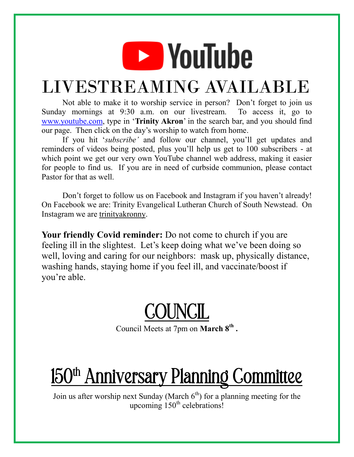# **EXP** YouTube

#### LIVESTREAMING AVAILABLE

Not able to make it to worship service in person? Don't forget to join us Sunday mornings at 9:30 a.m. on our livestream. To access it, go to [www.youtube.com,](http://www.youtube.com/) type in '**Trinity Akron**' in the search bar, and you should find our page. Then click on the day's worship to watch from home.

If you hit '*subscribe'* and follow our channel, you'll get updates and reminders of videos being posted, plus you'll help us get to 100 subscribers - at which point we get our very own YouTube channel web address, making it easier for people to find us. If you are in need of curbside communion, please contact Pastor for that as well.

Don't forget to follow us on Facebook and Instagram if you haven't already! On Facebook we are: Trinity Evangelical Lutheran Church of South Newstead. On Instagram we are trinityakronny.

**Your friendly Covid reminder:** Do not come to church if you are feeling ill in the slightest. Let's keep doing what we've been doing so well, loving and caring for our neighbors: mask up, physically distance, washing hands, staying home if you feel ill, and vaccinate/boost if you're able.

COUNCIL

Council Meets at 7pm on **March 8th .**

### 150<sup>th</sup> Anniversary Planning Committee

Join us after worship next Sunday (March  $6<sup>th</sup>$ ) for a planning meeting for the upcoming  $150<sup>th</sup>$  celebrations!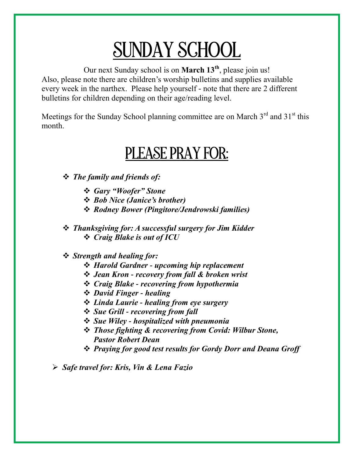#### SUNDAY SCHOOL

Our next Sunday school is on **March 13th**, please join us! Also, please note there are children's worship bulletins and supplies available every week in the narthex. Please help yourself - note that there are 2 different bulletins for children depending on their age/reading level.

Meetings for the Sunday School planning committee are on March  $3<sup>rd</sup>$  and  $31<sup>st</sup>$  this month.

#### PLEASE PRAY FOR:

*The family and friends of:*

- *Gary "Woofer" Stone*
- *Bob Nice (Janice's brother)*
- *Rodney Bower (Pingitore/Jendrowski families)*
- *Thanksgiving for: A successful surgery for Jim Kidder Craig Blake is out of ICU*

#### *Strength and healing for:*

- *Harold Gardner - upcoming hip replacement*
- *Jean Kron - recovery from fall & broken wrist*
- *Craig Blake - recovering from hypothermia*
- *David Finger - healing*
- *Linda Laurie - healing from eye surgery*
- *Sue Grill - recovering from fall*
- *Sue Wiley - hospitalized with pneumonia*
- *Those fighting & recovering from Covid: Wilbur Stone, Pastor Robert Dean*
- *Praying for good test results for Gordy Dorr and Deana Groff*

*Safe travel for: Kris, Vin & Lena Fazio*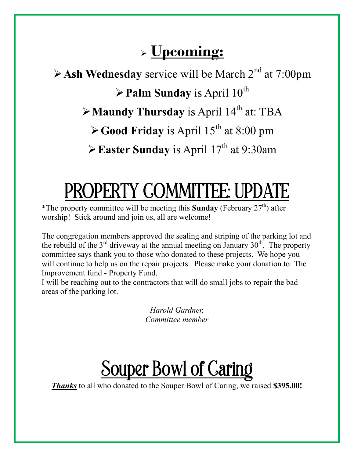#### **Upcoming:**

 $\triangleright$  **Ash Wednesday** service will be March  $2^{nd}$  at 7:00pm  $\triangleright$  **Palm Sunday** is April 10<sup>th</sup>  $\triangleright$  **Maundy Thursday** is April 14<sup>th</sup> at: TBA  $\blacktriangleright$  **Good Friday** is April 15<sup>th</sup> at 8:00 pm Easter Sunday is April  $17<sup>th</sup>$  at 9:30am

# PROPERTY COMMITTEE: UPDATE

\*The property committee will be meeting this **Sunday** (February  $27<sup>th</sup>$ ) after worship! Stick around and join us, all are welcome!

The congregation members approved the sealing and striping of the parking lot and the rebuild of the  $3<sup>rd</sup>$  driveway at the annual meeting on January  $30<sup>th</sup>$ . The property committee says thank you to those who donated to these projects. We hope you will continue to help us on the repair projects. Please make your donation to: The Improvement fund - Property Fund.

I will be reaching out to the contractors that will do small jobs to repair the bad areas of the parking lot.

> *Harold Gardner, Committee member*

### Souper Bowl of Caring

*Thanks* to all who donated to the Souper Bowl of Caring, we raised **\$395.00!**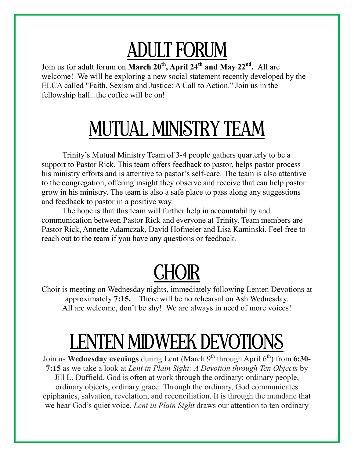# ADULT FORUM

Join us for adult forum on **March 20th, April 24th and May 22nd .** All are welcome! We will be exploring a new social statement recently developed by the ELCA called "Faith, Sexism and Justice: A Call to Action." Join us in the fellowship hall...the coffee will be on!

### MUTUAL MINISTRY TEAM

Trinity's Mutual Ministry Team of 3-4 people gathers quarterly to be a support to Pastor Rick. This team offers feedback to pastor, helps pastor process his ministry efforts and is attentive to pastor's self-care. The team is also attentive to the congregation, offering insight they observe and receive that can help pastor grow in his ministry. The team is also a safe place to pass along any suggestions and feedback to pastor in a positive way.

The hope is that this team will further help in accountability and communication between Pastor Rick and everyone at Trinity. Team members are Pastor Rick, Annette Adamczak, David Hofmeier and Lisa Kaminski. Feel free to reach out to the team if you have any questions or feedback.

# CHOIR

Choir is meeting on Wednesday nights, immediately following Lenten Devotions at approximately **7:15.** There will be no rehearsal on Ash Wednesday. All are welcome, don't be shy! We are always in need of more voices!

### LENTEN MIDWEEK DEVOTIONS

Join us **Wednesday evenings** during Lent (March 9th through April 6th) from **6:30- 7:15** as we take a look at *Lent in Plain Sight: A Devotion through Ten Objects* by Jill L. Duffield. God is often at work through the ordinary: ordinary people, ordinary objects, ordinary grace. Through the ordinary, God communicates epiphanies, salvation, revelation, and reconciliation. It is through the mundane that we hear God's quiet voice. *Lent in Plain Sight* draws our attention to ten ordinary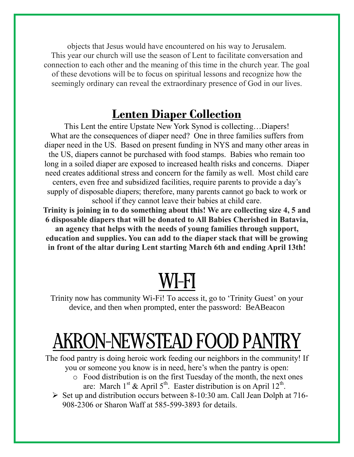objects that Jesus would have encountered on his way to Jerusalem. This year our church will use the season of Lent to facilitate conversation and connection to each other and the meaning of this time in the church year. The goal of these devotions will be to focus on spiritual lessons and recognize how the seemingly ordinary can reveal the extraordinary presence of God in our lives.

#### **Lenten Diaper Collection**

This Lent the entire Upstate New York Synod is collecting…Diapers! What are the consequences of diaper need? One in three families suffers from diaper need in the US. Based on present funding in NYS and many other areas in the US, diapers cannot be purchased with food stamps. Babies who remain too long in a soiled diaper are exposed to increased health risks and concerns. Diaper need creates additional stress and concern for the family as well. Most child care centers, even free and subsidized facilities, require parents to provide a day's supply of disposable diapers; therefore, many parents cannot go back to work or school if they cannot leave their babies at child care.

**Trinity is joining in to do something about this! We are collecting size 4, 5 and 6 disposable diapers that will be donated to All Babies Cherished in Batavia, an agency that helps with the needs of young families through support, education and supplies. You can add to the diaper stack that will be growing in front of the altar during Lent starting March 6th and ending April 13th!**

### WI-FI

Trinity now has community Wi-Fi! To access it, go to 'Trinity Guest' on your device, and then when prompted, enter the password: BeABeacon

### AKRON-NEWSTEAD FOOD PANTRY

The food pantry is doing heroic work feeding our neighbors in the community! If you or someone you know is in need, here's when the pantry is open:

- o Food distribution is on the first Tuesday of the month, the next ones are: March 1<sup>st</sup> & April 5<sup>th</sup>. Easter distribution is on April 12<sup>th</sup>.
- $\triangleright$  Set up and distribution occurs between 8-10:30 am. Call Jean Dolph at 716-908-2306 or Sharon Waff at 585-599-3893 for details.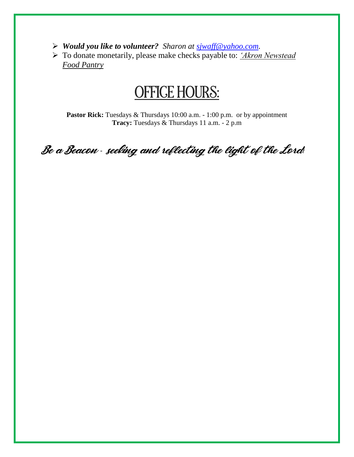- *Would you like to volunteer? Sharon at [sjwaff@yahoo.com.](mailto:sjwaff@yahoo.com)*
- To donate monetarily, please make checks payable to: *'Akron Newstead Food Pantry*

#### OFFICE HOURS:

Pastor Rick: Tuesdays & Thursdays 10:00 a.m. - 1:00 p.m. or by appointment **Tracy:** Tuesdays & Thursdays 11 a.m. - 2 p.m

Be a Beacon *-* seeking and reflecting the light of the Lord*!*